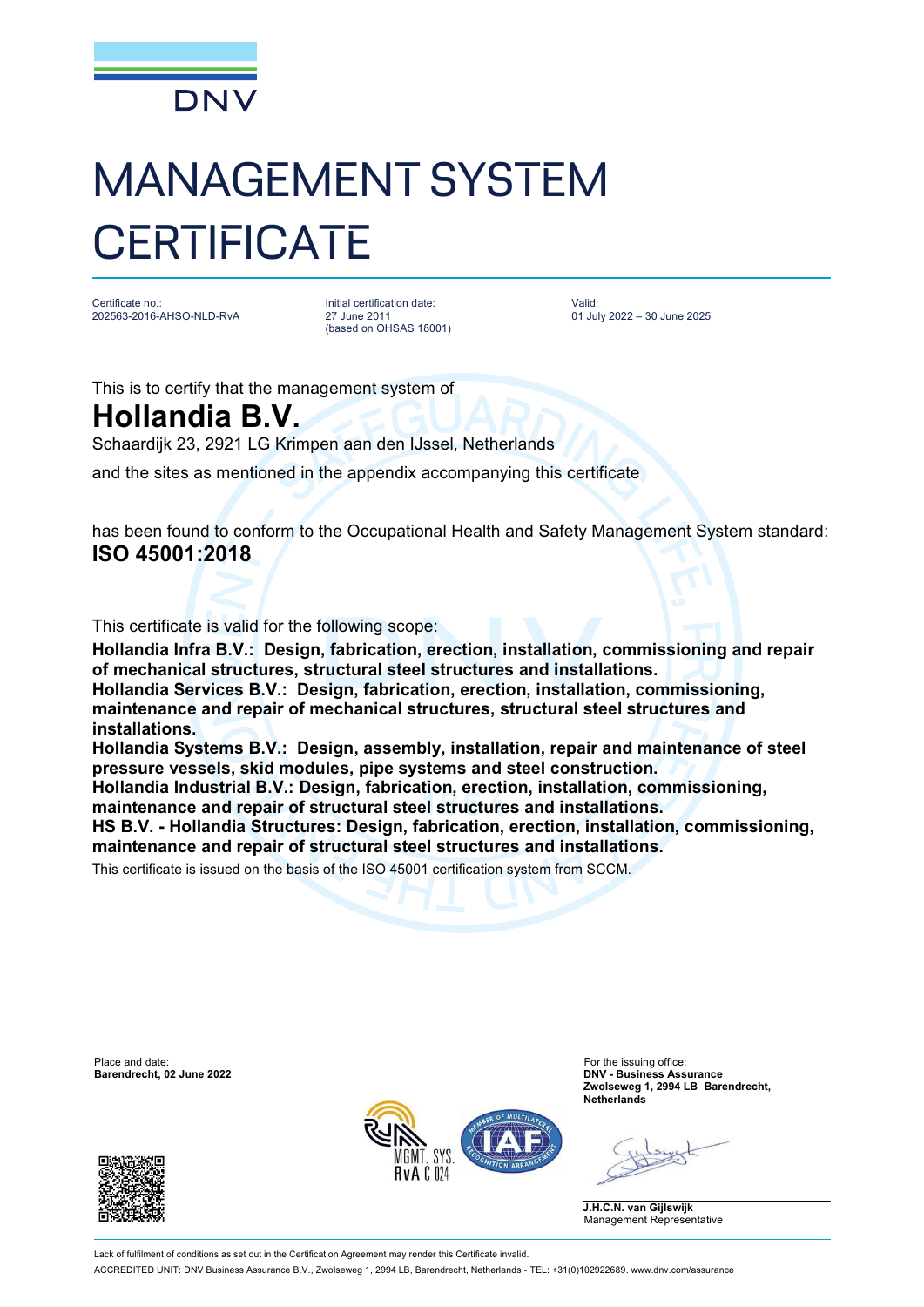

## MANAGEMENT SYSTEM **CERTIFICATE**

Certificate no.: 202563-2016-AHSO-NLD-RvA

Initial certification date: 27 June 2011 (based on OHSAS 18001) Valid: 01 July 2022 – 30 June 2025

This is to certify that the management system of **Hollandia B.V.**

Schaardijk 23, 2921 LG Krimpen aan den IJssel, Netherlands

and the sites as mentioned in the appendix accompanying this certificate

has been found to conform to the Occupational Health and Safety Management System standard: **ISO 45001:2018**

This certificate is valid for the following scope:

**Hollandia Infra B.V.: Design, fabrication, erection, installation, commissioning and repair of mechanical structures, structural steel structures and installations. Hollandia Services B.V.: Design, fabrication, erection, installation, commissioning, maintenance and repair of mechanical structures, structural steel structures and installations.** 

**Hollandia Systems B.V.: Design, assembly, installation, repair and maintenance of steel pressure vessels, skid modules, pipe systems and steel construction.** 

**Hollandia Industrial B.V.: Design, fabrication, erection, installation, commissioning, maintenance and repair of structural steel structures and installations.**

**HS B.V. - Hollandia Structures: Design, fabrication, erection, installation, commissioning, maintenance and repair of structural steel structures and installations.**

This certificate is issued on the basis of the ISO 45001 certification system from SCCM.

Place and date: For the issuing office:<br> **Barendrecht, 02 June 2022 Example 2022 Example 2022 Example 2022 Example 2023** 





**Barendrecht, 02 June 2022 DNV - Business Assurance Zwolseweg 1, 2994 LB Barendrecht, Netherlands**

**J.H.C.N. van Gijlswijk** Management Representative